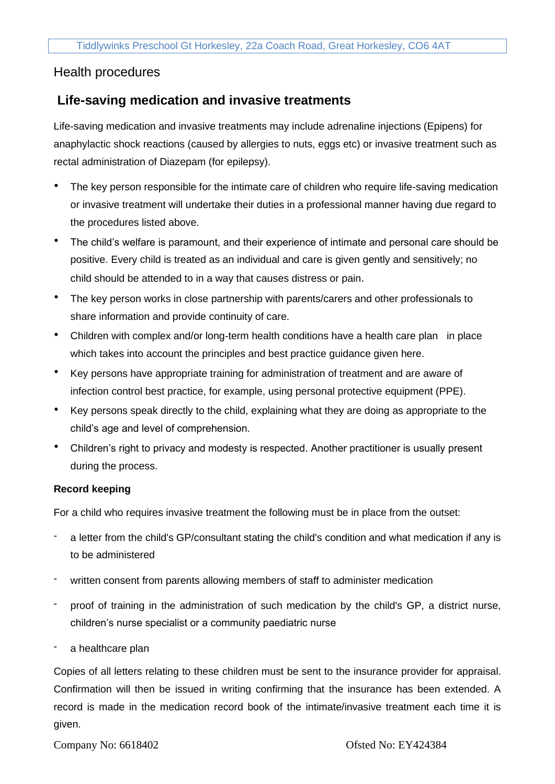# Health procedures

# **Life-saving medication and invasive treatments**

Life-saving medication and invasive treatments may include adrenaline injections (Epipens) for anaphylactic shock reactions (caused by allergies to nuts, eggs etc) or invasive treatment such as rectal administration of Diazepam (for epilepsy).

- The key person responsible for the intimate care of children who require life-saving medication or invasive treatment will undertake their duties in a professional manner having due regard to the procedures listed above.
- The child's welfare is paramount, and their experience of intimate and personal care should be positive. Every child is treated as an individual and care is given gently and sensitively; no child should be attended to in a way that causes distress or pain.
- The key person works in close partnership with parents/carers and other professionals to share information and provide continuity of care.
- Children with complex and/or long-term health conditions have a health care plan in place which takes into account the principles and best practice guidance given here.
- Key persons have appropriate training for administration of treatment and are aware of infection control best practice, for example, using personal protective equipment (PPE).
- Key persons speak directly to the child, explaining what they are doing as appropriate to the child's age and level of comprehension.
- Children's right to privacy and modesty is respected. Another practitioner is usually present during the process.

## **Record keeping**

For a child who requires invasive treatment the following must be in place from the outset:

- a letter from the child's GP/consultant stating the child's condition and what medication if any is to be administered
- written consent from parents allowing members of staff to administer medication
- proof of training in the administration of such medication by the child's GP, a district nurse, children's nurse specialist or a community paediatric nurse
- a healthcare plan

Copies of all letters relating to these children must be sent to the insurance provider for appraisal. Confirmation will then be issued in writing confirming that the insurance has been extended. A record is made in the medication record book of the intimate/invasive treatment each time it is given.